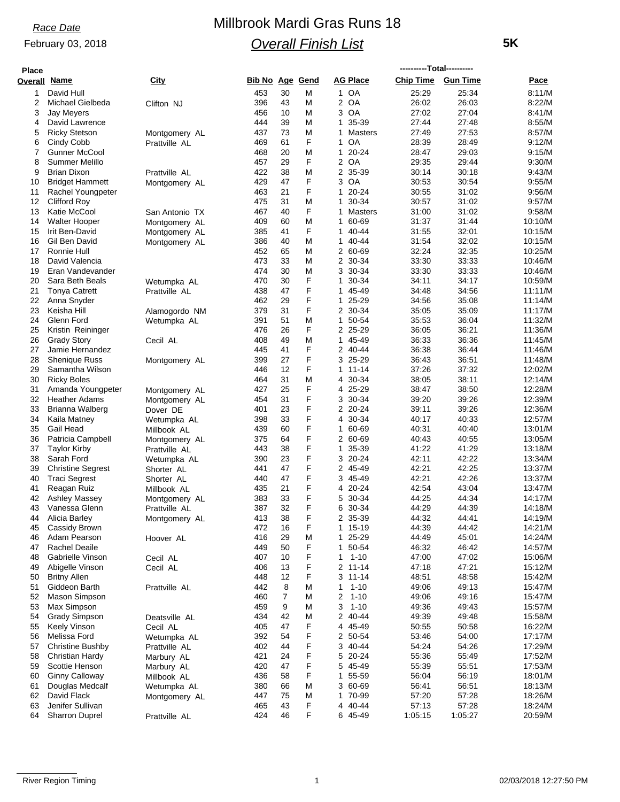#### *Race Date*

### February 03, 2018

# Millbrook Mardi Gras Runs 18 *Overall Finish List*

 **5K**

| <b>Chip Time</b><br><b>AG Place</b><br><b>City</b><br><b>Bib No Age Gend</b><br><b>Gun Time</b><br>Overall<br><u>Name</u><br>Pace<br>1 OA<br>David Hull<br>453<br>30<br>25:29<br>25:34<br>8:11/M<br>Μ<br>1<br>2 OA<br>26:03<br>Michael Gielbeda<br>396<br>43<br>M<br>26:02<br>8:22/M<br>2<br>Clifton NJ<br>OA<br>27:04<br>3<br>456<br>10<br>M<br>3<br>27:02<br>8:41/M<br><b>Jay Meyers</b><br>39<br>35-39<br>27:44<br>David Lawrence<br>444<br>Μ<br>$\mathbf{1}$<br>27:48<br>8:55/M<br>4<br>73<br><b>Ricky Stetson</b><br>437<br>M<br>27:49<br>27:53<br>5<br>1<br>Masters<br>8:57/M<br>Montgomery AL<br>F<br>OA<br>28:39<br>28:49<br>9:12/M<br>6<br>Cindy Cobb<br>469<br>61<br>$\mathbf{1}$<br>Prattville AL<br>468<br>20<br>M<br>$20 - 24$<br>28:47<br>29:03<br>9:15/M<br>7<br>Gunner McCool<br>$\mathbf 1$<br>F<br>$\overline{2}$<br>OA<br>8<br>29<br>29:35<br>29:44<br>Summer Melillo<br>457<br>9:30/M<br>9<br><b>Brian Dixon</b><br>422<br>38<br>M<br>2 35-39<br>30:14<br>30:18<br>9:43/M<br>Prattville AL<br>F<br>47<br>429<br>3 OA<br>30:53<br>30:54<br>9:55/M<br>10<br><b>Bridget Hammett</b><br>Montgomery AL<br>F<br>20-24<br>463<br>21<br>30:55<br>31:02<br>9:56/M<br>11<br>Rachel Youngpeter<br>$\mathbf{1}$<br>31<br>M<br>30-34<br>31:02<br>12<br><b>Clifford Roy</b><br>475<br>$\mathbf{1}$<br>30:57<br>9:57/M<br>F<br>13<br>Katie McCool<br>40<br>31:00<br>31:02<br>9:58/M<br>467<br>1<br>Masters<br>San Antonio TX<br>409<br>1 60-69<br>31:37<br>31:44<br>14<br><b>Walter Hooper</b><br>60<br>Μ<br>10:10/M<br>Montgomery AL<br>F<br>15<br>385<br>41<br>40-44<br>31:55<br>32:01<br>10:15/M<br>Irit Ben-David<br>1<br>Montgomery AL<br>16<br>40<br>M<br>40-44<br>31:54<br>32:02<br>Gil Ben David<br>386<br>$\mathbf 1$<br>10:15/M<br>Montgomery AL<br>452<br>65<br>2 60-69<br>32:24<br>32:35<br>10:25/M<br>17<br>Ronnie Hull<br>Μ<br>David Valencia<br>473<br>33<br>M<br>30-34<br>33:30<br>33:33<br>10:46/M<br>18<br>2<br>19<br>474<br>30<br>M<br>30-34<br>33:30<br>33:33<br>Eran Vandevander<br>3<br>10:46/M<br>F<br>30<br>34:11<br>34:17<br>20<br>Sara Beth Beals<br>470<br>1 30-34<br>10:59/M<br>Wetumpka AL<br>F<br>21<br>438<br>47<br>45-49<br>34:48<br>34:56<br>11:11/M<br><b>Tonya Catrett</b><br>Prattville AL<br>1<br>F<br>1 25-29<br>35:08<br>22<br>Anna Snyder<br>462<br>29<br>34:56<br>11:14/M<br>F<br>31<br>2 30-34<br>35:05<br>35:09<br>23<br>Keisha Hill<br>379<br>11:17/M<br>Alamogordo NM<br>51<br>M<br>35:53<br>36:04<br>24<br>Glenn Ford<br>391<br>$\mathbf{1}$<br>50-54<br>11:32/M<br>Wetumpka AL<br>F<br>26<br>2 25-29<br>36:05<br>36:21<br>11:36/M<br>25<br>Kristin Reininger<br>476<br>49<br>M<br>36:33<br>36:36<br>11:45/M<br>26<br><b>Grady Story</b><br>408<br>45-49<br>Cecil AL<br>1<br>F<br>27<br>445<br>41<br>2<br>40-44<br>36:38<br>36:44<br>Jamie Hernandez<br>11:46/M<br>F<br>27<br>36:51<br>28<br><b>Shenique Russ</b><br>399<br>3 25-29<br>36:43<br>11:48/M<br>Montgomery AL<br>F<br>12<br>37:26<br>29<br>$11 - 14$<br>37:32<br>12:02/M<br>Samantha Wilson<br>446<br>1<br>31<br>M<br>4 30-34<br>38:05<br>38:11<br>30<br><b>Ricky Boles</b><br>464<br>12:14/M<br>25<br>F<br>427<br>4 25-29<br>38:47<br>38:50<br>12:28/M<br>31<br>Amanda Youngpeter<br>Montgomery AL<br>F<br>31<br>39:20<br>39:26<br>32<br><b>Heather Adams</b><br>454<br>3<br>30-34<br>12:39/M<br>Montgomery AL<br>F<br>33<br>23<br>2 20-24<br>39:11<br>39:26<br>12:36/M<br>Brianna Walberg<br>401<br>Dover DE<br>F<br>33<br>30-34<br>40:33<br>12:57/M<br>34<br>Kaila Matney<br>398<br>4<br>40:17<br>Wetumpka AL<br>F<br>35<br>Gail Head<br>439<br>60<br>60-69<br>40:31<br>40:40<br>13:01/M<br>1<br>Millbook AL<br>F<br>64<br>36<br>Patricia Campbell<br>375<br>2 60-69<br>40:43<br>40:55<br>13:05/M<br>Montgomery AL<br>F<br>38<br>41:22<br>41:29<br>443<br>35-39<br>13:18/M<br>37<br><b>Taylor Kirby</b><br>$\mathbf{1}$<br>Prattville AL<br>F<br>23<br>3 20-24<br>42:11<br>42:22<br>38<br>Sarah Ford<br>390<br>13:34/M<br>Wetumpka AL<br>F<br>42:25<br>39<br>441<br>47<br>2 45-49<br>42:21<br>13:37/M<br><b>Christine Segrest</b><br>Shorter AL<br>F<br>42:26<br>47<br>3 45-49<br>42:21<br>40<br><b>Traci Segrest</b><br>440<br>13:37/M<br>Shorter AL<br>F<br>Reagan Ruiz<br>435<br>21<br>4 20-24<br>42:54<br>43:04<br>41<br>13:47/M<br>Millbook AL<br>F<br>33<br>30-34<br>44:25<br>44:34<br>14:17/M<br>42<br><b>Ashley Massey</b><br>383<br>5<br>Montgomery AL<br>32<br>F<br>43<br>Vanessa Glenn<br>387<br>30-34<br>44:29<br>44:39<br>14:18/M<br>6<br>Prattville AL<br>44<br>Alicia Barley<br>Montgomery AL<br>413<br>38<br>F<br>2 35-39<br>44:32<br>44:41<br>14:19/M<br>F<br>44:39<br>14:21/M<br>45<br>Cassidy Brown<br>472<br>16<br>1 15-19<br>44:42<br>416<br>Adam Pearson<br>29<br>1 25-29<br>44:49<br>45:01<br>14:24/M<br>46<br>Hoover AL<br>M<br>F<br>Rachel Deaile<br>449<br>50<br>50-54<br>46:32<br>46:42<br>14:57/M<br>47<br>1.<br>F<br>$1 - 10$<br>47:02<br>48<br>Gabrielle Vinson<br>407<br>10<br>47:00<br>15:06/M<br>Cecil AL<br>1<br>F<br>47:21<br>Abigelle Vinson<br>406<br>13<br>$2 11 - 14$<br>47:18<br>15:12/M<br>49<br>Cecil AL<br>F<br><b>Britny Allen</b><br>448<br>12<br>$11 - 14$<br>48:51<br>48:58<br>15:42/M<br>50<br>3<br>51<br>Giddeon Barth<br>442<br>8<br>$1 - 10$<br>49:06<br>49:13<br>Μ<br>$\mathbf 1$<br>15:47/M<br>Prattville AL<br><b>Mason Simpson</b><br>460<br>7<br>2<br>$1 - 10$<br>49:06<br>49:16<br>52<br>Μ<br>15:47/M<br>9<br>49:36<br>53<br>Max Simpson<br>459<br>M<br>3<br>$1 - 10$<br>49:43<br>15:57/M<br>2 40-44<br><b>Grady Simpson</b><br>434<br>42<br>M<br>49:39<br>49:48<br>15:58/M<br>54<br>Deatsville AL<br>F<br><b>Keely Vinson</b><br>405<br>47<br>4 45-49<br>50:55<br>50:58<br>55<br>16:22/M<br>Cecil AL<br>F<br>Melissa Ford<br>392<br>54<br>53:46<br>54:00<br>56<br>2<br>50-54<br>17:17/M<br>Wetumpka AL<br>F<br>402<br>3 40-44<br>54:24<br>54:26<br>57<br>Christine Bushby<br>44<br>17:29/M<br>Prattville AL<br>F<br>58<br>Christian Hardy<br>421<br>24<br>5<br>20-24<br>55:36<br>55:49<br>17:52/M<br>Marbury AL<br>F<br>59<br>Scottie Henson<br>420<br>47<br>5 45-49<br>55:39<br>55:51<br>17:53/M<br>Marbury AL<br>F<br><b>Ginny Calloway</b><br>436<br>58<br>1 55-59<br>56:04<br>56:19<br>60<br>18:01/M<br>Millbook AL<br>61<br>Douglas Medcalf<br>380<br>66<br>M<br>3 60-69<br>56:41<br>56:51<br>18:13/M<br>Wetumpka AL<br>62<br>David Flack<br>447<br>75<br>1 70-99<br>57:20<br>57:28<br>18:26/M<br>M<br>Montgomery AL<br>F<br>63<br>Jenifer Sullivan<br>465<br>43<br>40-44<br>57:13<br>57:28<br>4<br>18:24/M<br>F<br>64<br><b>Sharron Duprel</b><br>424<br>46<br>6 45-49<br>1:05:15<br>1:05:27<br>20:59/M<br>Prattville AL | <b>Place</b> |  |  |  |  |  |
|-----------------------------------------------------------------------------------------------------------------------------------------------------------------------------------------------------------------------------------------------------------------------------------------------------------------------------------------------------------------------------------------------------------------------------------------------------------------------------------------------------------------------------------------------------------------------------------------------------------------------------------------------------------------------------------------------------------------------------------------------------------------------------------------------------------------------------------------------------------------------------------------------------------------------------------------------------------------------------------------------------------------------------------------------------------------------------------------------------------------------------------------------------------------------------------------------------------------------------------------------------------------------------------------------------------------------------------------------------------------------------------------------------------------------------------------------------------------------------------------------------------------------------------------------------------------------------------------------------------------------------------------------------------------------------------------------------------------------------------------------------------------------------------------------------------------------------------------------------------------------------------------------------------------------------------------------------------------------------------------------------------------------------------------------------------------------------------------------------------------------------------------------------------------------------------------------------------------------------------------------------------------------------------------------------------------------------------------------------------------------------------------------------------------------------------------------------------------------------------------------------------------------------------------------------------------------------------------------------------------------------------------------------------------------------------------------------------------------------------------------------------------------------------------------------------------------------------------------------------------------------------------------------------------------------------------------------------------------------------------------------------------------------------------------------------------------------------------------------------------------------------------------------------------------------------------------------------------------------------------------------------------------------------------------------------------------------------------------------------------------------------------------------------------------------------------------------------------------------------------------------------------------------------------------------------------------------------------------------------------------------------------------------------------------------------------------------------------------------------------------------------------------------------------------------------------------------------------------------------------------------------------------------------------------------------------------------------------------------------------------------------------------------------------------------------------------------------------------------------------------------------------------------------------------------------------------------------------------------------------------------------------------------------------------------------------------------------------------------------------------------------------------------------------------------------------------------------------------------------------------------------------------------------------------------------------------------------------------------------------------------------------------------------------------------------------------------------------------------------------------------------------------------------------------------------------------------------------------------------------------------------------------------------------------------------------------------------------------------------------------------------------------------------------------------------------------------------------------------------------------------------------------------------------------------------------------------------------------------------------------------------------------------------------------------------------------------------------------------------------------------------------------------------------------------------------------------------------------------------------------------------------------------------------------------------------------------------------------------------------------------------------------------------------------------------------------------------------------------------------------------------------------------------------------------------------------------------------------------------------------------------------------------------------------------------------------------------------------------------------------------------------------------------------------------------------------------------------------------------------------------------------------------------------------------------------------------------------------------------------------------------------------------------------------------------------------------------------------------------------------------------------------------------------------------------------------------------------------------------------------------------------------------------------------------------------------------------------------------------|--------------|--|--|--|--|--|
|                                                                                                                                                                                                                                                                                                                                                                                                                                                                                                                                                                                                                                                                                                                                                                                                                                                                                                                                                                                                                                                                                                                                                                                                                                                                                                                                                                                                                                                                                                                                                                                                                                                                                                                                                                                                                                                                                                                                                                                                                                                                                                                                                                                                                                                                                                                                                                                                                                                                                                                                                                                                                                                                                                                                                                                                                                                                                                                                                                                                                                                                                                                                                                                                                                                                                                                                                                                                                                                                                                                                                                                                                                                                                                                                                                                                                                                                                                                                                                                                                                                                                                                                                                                                                                                                                                                                                                                                                                                                                                                                                                                                                                                                                                                                                                                                                                                                                                                                                                                                                                                                                                                                                                                                                                                                                                                                                                                                                                                                                                                                                                                                                                                                                                                                                                                                                                                                                                                                                                                                                                                                                                                                                                                                                                                                                                                                                                                                                                                                                                                                                                                                           |              |  |  |  |  |  |
|                                                                                                                                                                                                                                                                                                                                                                                                                                                                                                                                                                                                                                                                                                                                                                                                                                                                                                                                                                                                                                                                                                                                                                                                                                                                                                                                                                                                                                                                                                                                                                                                                                                                                                                                                                                                                                                                                                                                                                                                                                                                                                                                                                                                                                                                                                                                                                                                                                                                                                                                                                                                                                                                                                                                                                                                                                                                                                                                                                                                                                                                                                                                                                                                                                                                                                                                                                                                                                                                                                                                                                                                                                                                                                                                                                                                                                                                                                                                                                                                                                                                                                                                                                                                                                                                                                                                                                                                                                                                                                                                                                                                                                                                                                                                                                                                                                                                                                                                                                                                                                                                                                                                                                                                                                                                                                                                                                                                                                                                                                                                                                                                                                                                                                                                                                                                                                                                                                                                                                                                                                                                                                                                                                                                                                                                                                                                                                                                                                                                                                                                                                                                           |              |  |  |  |  |  |
|                                                                                                                                                                                                                                                                                                                                                                                                                                                                                                                                                                                                                                                                                                                                                                                                                                                                                                                                                                                                                                                                                                                                                                                                                                                                                                                                                                                                                                                                                                                                                                                                                                                                                                                                                                                                                                                                                                                                                                                                                                                                                                                                                                                                                                                                                                                                                                                                                                                                                                                                                                                                                                                                                                                                                                                                                                                                                                                                                                                                                                                                                                                                                                                                                                                                                                                                                                                                                                                                                                                                                                                                                                                                                                                                                                                                                                                                                                                                                                                                                                                                                                                                                                                                                                                                                                                                                                                                                                                                                                                                                                                                                                                                                                                                                                                                                                                                                                                                                                                                                                                                                                                                                                                                                                                                                                                                                                                                                                                                                                                                                                                                                                                                                                                                                                                                                                                                                                                                                                                                                                                                                                                                                                                                                                                                                                                                                                                                                                                                                                                                                                                                           |              |  |  |  |  |  |
|                                                                                                                                                                                                                                                                                                                                                                                                                                                                                                                                                                                                                                                                                                                                                                                                                                                                                                                                                                                                                                                                                                                                                                                                                                                                                                                                                                                                                                                                                                                                                                                                                                                                                                                                                                                                                                                                                                                                                                                                                                                                                                                                                                                                                                                                                                                                                                                                                                                                                                                                                                                                                                                                                                                                                                                                                                                                                                                                                                                                                                                                                                                                                                                                                                                                                                                                                                                                                                                                                                                                                                                                                                                                                                                                                                                                                                                                                                                                                                                                                                                                                                                                                                                                                                                                                                                                                                                                                                                                                                                                                                                                                                                                                                                                                                                                                                                                                                                                                                                                                                                                                                                                                                                                                                                                                                                                                                                                                                                                                                                                                                                                                                                                                                                                                                                                                                                                                                                                                                                                                                                                                                                                                                                                                                                                                                                                                                                                                                                                                                                                                                                                           |              |  |  |  |  |  |
|                                                                                                                                                                                                                                                                                                                                                                                                                                                                                                                                                                                                                                                                                                                                                                                                                                                                                                                                                                                                                                                                                                                                                                                                                                                                                                                                                                                                                                                                                                                                                                                                                                                                                                                                                                                                                                                                                                                                                                                                                                                                                                                                                                                                                                                                                                                                                                                                                                                                                                                                                                                                                                                                                                                                                                                                                                                                                                                                                                                                                                                                                                                                                                                                                                                                                                                                                                                                                                                                                                                                                                                                                                                                                                                                                                                                                                                                                                                                                                                                                                                                                                                                                                                                                                                                                                                                                                                                                                                                                                                                                                                                                                                                                                                                                                                                                                                                                                                                                                                                                                                                                                                                                                                                                                                                                                                                                                                                                                                                                                                                                                                                                                                                                                                                                                                                                                                                                                                                                                                                                                                                                                                                                                                                                                                                                                                                                                                                                                                                                                                                                                                                           |              |  |  |  |  |  |
|                                                                                                                                                                                                                                                                                                                                                                                                                                                                                                                                                                                                                                                                                                                                                                                                                                                                                                                                                                                                                                                                                                                                                                                                                                                                                                                                                                                                                                                                                                                                                                                                                                                                                                                                                                                                                                                                                                                                                                                                                                                                                                                                                                                                                                                                                                                                                                                                                                                                                                                                                                                                                                                                                                                                                                                                                                                                                                                                                                                                                                                                                                                                                                                                                                                                                                                                                                                                                                                                                                                                                                                                                                                                                                                                                                                                                                                                                                                                                                                                                                                                                                                                                                                                                                                                                                                                                                                                                                                                                                                                                                                                                                                                                                                                                                                                                                                                                                                                                                                                                                                                                                                                                                                                                                                                                                                                                                                                                                                                                                                                                                                                                                                                                                                                                                                                                                                                                                                                                                                                                                                                                                                                                                                                                                                                                                                                                                                                                                                                                                                                                                                                           |              |  |  |  |  |  |
|                                                                                                                                                                                                                                                                                                                                                                                                                                                                                                                                                                                                                                                                                                                                                                                                                                                                                                                                                                                                                                                                                                                                                                                                                                                                                                                                                                                                                                                                                                                                                                                                                                                                                                                                                                                                                                                                                                                                                                                                                                                                                                                                                                                                                                                                                                                                                                                                                                                                                                                                                                                                                                                                                                                                                                                                                                                                                                                                                                                                                                                                                                                                                                                                                                                                                                                                                                                                                                                                                                                                                                                                                                                                                                                                                                                                                                                                                                                                                                                                                                                                                                                                                                                                                                                                                                                                                                                                                                                                                                                                                                                                                                                                                                                                                                                                                                                                                                                                                                                                                                                                                                                                                                                                                                                                                                                                                                                                                                                                                                                                                                                                                                                                                                                                                                                                                                                                                                                                                                                                                                                                                                                                                                                                                                                                                                                                                                                                                                                                                                                                                                                                           |              |  |  |  |  |  |
|                                                                                                                                                                                                                                                                                                                                                                                                                                                                                                                                                                                                                                                                                                                                                                                                                                                                                                                                                                                                                                                                                                                                                                                                                                                                                                                                                                                                                                                                                                                                                                                                                                                                                                                                                                                                                                                                                                                                                                                                                                                                                                                                                                                                                                                                                                                                                                                                                                                                                                                                                                                                                                                                                                                                                                                                                                                                                                                                                                                                                                                                                                                                                                                                                                                                                                                                                                                                                                                                                                                                                                                                                                                                                                                                                                                                                                                                                                                                                                                                                                                                                                                                                                                                                                                                                                                                                                                                                                                                                                                                                                                                                                                                                                                                                                                                                                                                                                                                                                                                                                                                                                                                                                                                                                                                                                                                                                                                                                                                                                                                                                                                                                                                                                                                                                                                                                                                                                                                                                                                                                                                                                                                                                                                                                                                                                                                                                                                                                                                                                                                                                                                           |              |  |  |  |  |  |
|                                                                                                                                                                                                                                                                                                                                                                                                                                                                                                                                                                                                                                                                                                                                                                                                                                                                                                                                                                                                                                                                                                                                                                                                                                                                                                                                                                                                                                                                                                                                                                                                                                                                                                                                                                                                                                                                                                                                                                                                                                                                                                                                                                                                                                                                                                                                                                                                                                                                                                                                                                                                                                                                                                                                                                                                                                                                                                                                                                                                                                                                                                                                                                                                                                                                                                                                                                                                                                                                                                                                                                                                                                                                                                                                                                                                                                                                                                                                                                                                                                                                                                                                                                                                                                                                                                                                                                                                                                                                                                                                                                                                                                                                                                                                                                                                                                                                                                                                                                                                                                                                                                                                                                                                                                                                                                                                                                                                                                                                                                                                                                                                                                                                                                                                                                                                                                                                                                                                                                                                                                                                                                                                                                                                                                                                                                                                                                                                                                                                                                                                                                                                           |              |  |  |  |  |  |
|                                                                                                                                                                                                                                                                                                                                                                                                                                                                                                                                                                                                                                                                                                                                                                                                                                                                                                                                                                                                                                                                                                                                                                                                                                                                                                                                                                                                                                                                                                                                                                                                                                                                                                                                                                                                                                                                                                                                                                                                                                                                                                                                                                                                                                                                                                                                                                                                                                                                                                                                                                                                                                                                                                                                                                                                                                                                                                                                                                                                                                                                                                                                                                                                                                                                                                                                                                                                                                                                                                                                                                                                                                                                                                                                                                                                                                                                                                                                                                                                                                                                                                                                                                                                                                                                                                                                                                                                                                                                                                                                                                                                                                                                                                                                                                                                                                                                                                                                                                                                                                                                                                                                                                                                                                                                                                                                                                                                                                                                                                                                                                                                                                                                                                                                                                                                                                                                                                                                                                                                                                                                                                                                                                                                                                                                                                                                                                                                                                                                                                                                                                                                           |              |  |  |  |  |  |
|                                                                                                                                                                                                                                                                                                                                                                                                                                                                                                                                                                                                                                                                                                                                                                                                                                                                                                                                                                                                                                                                                                                                                                                                                                                                                                                                                                                                                                                                                                                                                                                                                                                                                                                                                                                                                                                                                                                                                                                                                                                                                                                                                                                                                                                                                                                                                                                                                                                                                                                                                                                                                                                                                                                                                                                                                                                                                                                                                                                                                                                                                                                                                                                                                                                                                                                                                                                                                                                                                                                                                                                                                                                                                                                                                                                                                                                                                                                                                                                                                                                                                                                                                                                                                                                                                                                                                                                                                                                                                                                                                                                                                                                                                                                                                                                                                                                                                                                                                                                                                                                                                                                                                                                                                                                                                                                                                                                                                                                                                                                                                                                                                                                                                                                                                                                                                                                                                                                                                                                                                                                                                                                                                                                                                                                                                                                                                                                                                                                                                                                                                                                                           |              |  |  |  |  |  |
|                                                                                                                                                                                                                                                                                                                                                                                                                                                                                                                                                                                                                                                                                                                                                                                                                                                                                                                                                                                                                                                                                                                                                                                                                                                                                                                                                                                                                                                                                                                                                                                                                                                                                                                                                                                                                                                                                                                                                                                                                                                                                                                                                                                                                                                                                                                                                                                                                                                                                                                                                                                                                                                                                                                                                                                                                                                                                                                                                                                                                                                                                                                                                                                                                                                                                                                                                                                                                                                                                                                                                                                                                                                                                                                                                                                                                                                                                                                                                                                                                                                                                                                                                                                                                                                                                                                                                                                                                                                                                                                                                                                                                                                                                                                                                                                                                                                                                                                                                                                                                                                                                                                                                                                                                                                                                                                                                                                                                                                                                                                                                                                                                                                                                                                                                                                                                                                                                                                                                                                                                                                                                                                                                                                                                                                                                                                                                                                                                                                                                                                                                                                                           |              |  |  |  |  |  |
|                                                                                                                                                                                                                                                                                                                                                                                                                                                                                                                                                                                                                                                                                                                                                                                                                                                                                                                                                                                                                                                                                                                                                                                                                                                                                                                                                                                                                                                                                                                                                                                                                                                                                                                                                                                                                                                                                                                                                                                                                                                                                                                                                                                                                                                                                                                                                                                                                                                                                                                                                                                                                                                                                                                                                                                                                                                                                                                                                                                                                                                                                                                                                                                                                                                                                                                                                                                                                                                                                                                                                                                                                                                                                                                                                                                                                                                                                                                                                                                                                                                                                                                                                                                                                                                                                                                                                                                                                                                                                                                                                                                                                                                                                                                                                                                                                                                                                                                                                                                                                                                                                                                                                                                                                                                                                                                                                                                                                                                                                                                                                                                                                                                                                                                                                                                                                                                                                                                                                                                                                                                                                                                                                                                                                                                                                                                                                                                                                                                                                                                                                                                                           |              |  |  |  |  |  |
|                                                                                                                                                                                                                                                                                                                                                                                                                                                                                                                                                                                                                                                                                                                                                                                                                                                                                                                                                                                                                                                                                                                                                                                                                                                                                                                                                                                                                                                                                                                                                                                                                                                                                                                                                                                                                                                                                                                                                                                                                                                                                                                                                                                                                                                                                                                                                                                                                                                                                                                                                                                                                                                                                                                                                                                                                                                                                                                                                                                                                                                                                                                                                                                                                                                                                                                                                                                                                                                                                                                                                                                                                                                                                                                                                                                                                                                                                                                                                                                                                                                                                                                                                                                                                                                                                                                                                                                                                                                                                                                                                                                                                                                                                                                                                                                                                                                                                                                                                                                                                                                                                                                                                                                                                                                                                                                                                                                                                                                                                                                                                                                                                                                                                                                                                                                                                                                                                                                                                                                                                                                                                                                                                                                                                                                                                                                                                                                                                                                                                                                                                                                                           |              |  |  |  |  |  |
|                                                                                                                                                                                                                                                                                                                                                                                                                                                                                                                                                                                                                                                                                                                                                                                                                                                                                                                                                                                                                                                                                                                                                                                                                                                                                                                                                                                                                                                                                                                                                                                                                                                                                                                                                                                                                                                                                                                                                                                                                                                                                                                                                                                                                                                                                                                                                                                                                                                                                                                                                                                                                                                                                                                                                                                                                                                                                                                                                                                                                                                                                                                                                                                                                                                                                                                                                                                                                                                                                                                                                                                                                                                                                                                                                                                                                                                                                                                                                                                                                                                                                                                                                                                                                                                                                                                                                                                                                                                                                                                                                                                                                                                                                                                                                                                                                                                                                                                                                                                                                                                                                                                                                                                                                                                                                                                                                                                                                                                                                                                                                                                                                                                                                                                                                                                                                                                                                                                                                                                                                                                                                                                                                                                                                                                                                                                                                                                                                                                                                                                                                                                                           |              |  |  |  |  |  |
|                                                                                                                                                                                                                                                                                                                                                                                                                                                                                                                                                                                                                                                                                                                                                                                                                                                                                                                                                                                                                                                                                                                                                                                                                                                                                                                                                                                                                                                                                                                                                                                                                                                                                                                                                                                                                                                                                                                                                                                                                                                                                                                                                                                                                                                                                                                                                                                                                                                                                                                                                                                                                                                                                                                                                                                                                                                                                                                                                                                                                                                                                                                                                                                                                                                                                                                                                                                                                                                                                                                                                                                                                                                                                                                                                                                                                                                                                                                                                                                                                                                                                                                                                                                                                                                                                                                                                                                                                                                                                                                                                                                                                                                                                                                                                                                                                                                                                                                                                                                                                                                                                                                                                                                                                                                                                                                                                                                                                                                                                                                                                                                                                                                                                                                                                                                                                                                                                                                                                                                                                                                                                                                                                                                                                                                                                                                                                                                                                                                                                                                                                                                                           |              |  |  |  |  |  |
|                                                                                                                                                                                                                                                                                                                                                                                                                                                                                                                                                                                                                                                                                                                                                                                                                                                                                                                                                                                                                                                                                                                                                                                                                                                                                                                                                                                                                                                                                                                                                                                                                                                                                                                                                                                                                                                                                                                                                                                                                                                                                                                                                                                                                                                                                                                                                                                                                                                                                                                                                                                                                                                                                                                                                                                                                                                                                                                                                                                                                                                                                                                                                                                                                                                                                                                                                                                                                                                                                                                                                                                                                                                                                                                                                                                                                                                                                                                                                                                                                                                                                                                                                                                                                                                                                                                                                                                                                                                                                                                                                                                                                                                                                                                                                                                                                                                                                                                                                                                                                                                                                                                                                                                                                                                                                                                                                                                                                                                                                                                                                                                                                                                                                                                                                                                                                                                                                                                                                                                                                                                                                                                                                                                                                                                                                                                                                                                                                                                                                                                                                                                                           |              |  |  |  |  |  |
|                                                                                                                                                                                                                                                                                                                                                                                                                                                                                                                                                                                                                                                                                                                                                                                                                                                                                                                                                                                                                                                                                                                                                                                                                                                                                                                                                                                                                                                                                                                                                                                                                                                                                                                                                                                                                                                                                                                                                                                                                                                                                                                                                                                                                                                                                                                                                                                                                                                                                                                                                                                                                                                                                                                                                                                                                                                                                                                                                                                                                                                                                                                                                                                                                                                                                                                                                                                                                                                                                                                                                                                                                                                                                                                                                                                                                                                                                                                                                                                                                                                                                                                                                                                                                                                                                                                                                                                                                                                                                                                                                                                                                                                                                                                                                                                                                                                                                                                                                                                                                                                                                                                                                                                                                                                                                                                                                                                                                                                                                                                                                                                                                                                                                                                                                                                                                                                                                                                                                                                                                                                                                                                                                                                                                                                                                                                                                                                                                                                                                                                                                                                                           |              |  |  |  |  |  |
|                                                                                                                                                                                                                                                                                                                                                                                                                                                                                                                                                                                                                                                                                                                                                                                                                                                                                                                                                                                                                                                                                                                                                                                                                                                                                                                                                                                                                                                                                                                                                                                                                                                                                                                                                                                                                                                                                                                                                                                                                                                                                                                                                                                                                                                                                                                                                                                                                                                                                                                                                                                                                                                                                                                                                                                                                                                                                                                                                                                                                                                                                                                                                                                                                                                                                                                                                                                                                                                                                                                                                                                                                                                                                                                                                                                                                                                                                                                                                                                                                                                                                                                                                                                                                                                                                                                                                                                                                                                                                                                                                                                                                                                                                                                                                                                                                                                                                                                                                                                                                                                                                                                                                                                                                                                                                                                                                                                                                                                                                                                                                                                                                                                                                                                                                                                                                                                                                                                                                                                                                                                                                                                                                                                                                                                                                                                                                                                                                                                                                                                                                                                                           |              |  |  |  |  |  |
|                                                                                                                                                                                                                                                                                                                                                                                                                                                                                                                                                                                                                                                                                                                                                                                                                                                                                                                                                                                                                                                                                                                                                                                                                                                                                                                                                                                                                                                                                                                                                                                                                                                                                                                                                                                                                                                                                                                                                                                                                                                                                                                                                                                                                                                                                                                                                                                                                                                                                                                                                                                                                                                                                                                                                                                                                                                                                                                                                                                                                                                                                                                                                                                                                                                                                                                                                                                                                                                                                                                                                                                                                                                                                                                                                                                                                                                                                                                                                                                                                                                                                                                                                                                                                                                                                                                                                                                                                                                                                                                                                                                                                                                                                                                                                                                                                                                                                                                                                                                                                                                                                                                                                                                                                                                                                                                                                                                                                                                                                                                                                                                                                                                                                                                                                                                                                                                                                                                                                                                                                                                                                                                                                                                                                                                                                                                                                                                                                                                                                                                                                                                                           |              |  |  |  |  |  |
|                                                                                                                                                                                                                                                                                                                                                                                                                                                                                                                                                                                                                                                                                                                                                                                                                                                                                                                                                                                                                                                                                                                                                                                                                                                                                                                                                                                                                                                                                                                                                                                                                                                                                                                                                                                                                                                                                                                                                                                                                                                                                                                                                                                                                                                                                                                                                                                                                                                                                                                                                                                                                                                                                                                                                                                                                                                                                                                                                                                                                                                                                                                                                                                                                                                                                                                                                                                                                                                                                                                                                                                                                                                                                                                                                                                                                                                                                                                                                                                                                                                                                                                                                                                                                                                                                                                                                                                                                                                                                                                                                                                                                                                                                                                                                                                                                                                                                                                                                                                                                                                                                                                                                                                                                                                                                                                                                                                                                                                                                                                                                                                                                                                                                                                                                                                                                                                                                                                                                                                                                                                                                                                                                                                                                                                                                                                                                                                                                                                                                                                                                                                                           |              |  |  |  |  |  |
|                                                                                                                                                                                                                                                                                                                                                                                                                                                                                                                                                                                                                                                                                                                                                                                                                                                                                                                                                                                                                                                                                                                                                                                                                                                                                                                                                                                                                                                                                                                                                                                                                                                                                                                                                                                                                                                                                                                                                                                                                                                                                                                                                                                                                                                                                                                                                                                                                                                                                                                                                                                                                                                                                                                                                                                                                                                                                                                                                                                                                                                                                                                                                                                                                                                                                                                                                                                                                                                                                                                                                                                                                                                                                                                                                                                                                                                                                                                                                                                                                                                                                                                                                                                                                                                                                                                                                                                                                                                                                                                                                                                                                                                                                                                                                                                                                                                                                                                                                                                                                                                                                                                                                                                                                                                                                                                                                                                                                                                                                                                                                                                                                                                                                                                                                                                                                                                                                                                                                                                                                                                                                                                                                                                                                                                                                                                                                                                                                                                                                                                                                                                                           |              |  |  |  |  |  |
|                                                                                                                                                                                                                                                                                                                                                                                                                                                                                                                                                                                                                                                                                                                                                                                                                                                                                                                                                                                                                                                                                                                                                                                                                                                                                                                                                                                                                                                                                                                                                                                                                                                                                                                                                                                                                                                                                                                                                                                                                                                                                                                                                                                                                                                                                                                                                                                                                                                                                                                                                                                                                                                                                                                                                                                                                                                                                                                                                                                                                                                                                                                                                                                                                                                                                                                                                                                                                                                                                                                                                                                                                                                                                                                                                                                                                                                                                                                                                                                                                                                                                                                                                                                                                                                                                                                                                                                                                                                                                                                                                                                                                                                                                                                                                                                                                                                                                                                                                                                                                                                                                                                                                                                                                                                                                                                                                                                                                                                                                                                                                                                                                                                                                                                                                                                                                                                                                                                                                                                                                                                                                                                                                                                                                                                                                                                                                                                                                                                                                                                                                                                                           |              |  |  |  |  |  |
|                                                                                                                                                                                                                                                                                                                                                                                                                                                                                                                                                                                                                                                                                                                                                                                                                                                                                                                                                                                                                                                                                                                                                                                                                                                                                                                                                                                                                                                                                                                                                                                                                                                                                                                                                                                                                                                                                                                                                                                                                                                                                                                                                                                                                                                                                                                                                                                                                                                                                                                                                                                                                                                                                                                                                                                                                                                                                                                                                                                                                                                                                                                                                                                                                                                                                                                                                                                                                                                                                                                                                                                                                                                                                                                                                                                                                                                                                                                                                                                                                                                                                                                                                                                                                                                                                                                                                                                                                                                                                                                                                                                                                                                                                                                                                                                                                                                                                                                                                                                                                                                                                                                                                                                                                                                                                                                                                                                                                                                                                                                                                                                                                                                                                                                                                                                                                                                                                                                                                                                                                                                                                                                                                                                                                                                                                                                                                                                                                                                                                                                                                                                                           |              |  |  |  |  |  |
|                                                                                                                                                                                                                                                                                                                                                                                                                                                                                                                                                                                                                                                                                                                                                                                                                                                                                                                                                                                                                                                                                                                                                                                                                                                                                                                                                                                                                                                                                                                                                                                                                                                                                                                                                                                                                                                                                                                                                                                                                                                                                                                                                                                                                                                                                                                                                                                                                                                                                                                                                                                                                                                                                                                                                                                                                                                                                                                                                                                                                                                                                                                                                                                                                                                                                                                                                                                                                                                                                                                                                                                                                                                                                                                                                                                                                                                                                                                                                                                                                                                                                                                                                                                                                                                                                                                                                                                                                                                                                                                                                                                                                                                                                                                                                                                                                                                                                                                                                                                                                                                                                                                                                                                                                                                                                                                                                                                                                                                                                                                                                                                                                                                                                                                                                                                                                                                                                                                                                                                                                                                                                                                                                                                                                                                                                                                                                                                                                                                                                                                                                                                                           |              |  |  |  |  |  |
|                                                                                                                                                                                                                                                                                                                                                                                                                                                                                                                                                                                                                                                                                                                                                                                                                                                                                                                                                                                                                                                                                                                                                                                                                                                                                                                                                                                                                                                                                                                                                                                                                                                                                                                                                                                                                                                                                                                                                                                                                                                                                                                                                                                                                                                                                                                                                                                                                                                                                                                                                                                                                                                                                                                                                                                                                                                                                                                                                                                                                                                                                                                                                                                                                                                                                                                                                                                                                                                                                                                                                                                                                                                                                                                                                                                                                                                                                                                                                                                                                                                                                                                                                                                                                                                                                                                                                                                                                                                                                                                                                                                                                                                                                                                                                                                                                                                                                                                                                                                                                                                                                                                                                                                                                                                                                                                                                                                                                                                                                                                                                                                                                                                                                                                                                                                                                                                                                                                                                                                                                                                                                                                                                                                                                                                                                                                                                                                                                                                                                                                                                                                                           |              |  |  |  |  |  |
|                                                                                                                                                                                                                                                                                                                                                                                                                                                                                                                                                                                                                                                                                                                                                                                                                                                                                                                                                                                                                                                                                                                                                                                                                                                                                                                                                                                                                                                                                                                                                                                                                                                                                                                                                                                                                                                                                                                                                                                                                                                                                                                                                                                                                                                                                                                                                                                                                                                                                                                                                                                                                                                                                                                                                                                                                                                                                                                                                                                                                                                                                                                                                                                                                                                                                                                                                                                                                                                                                                                                                                                                                                                                                                                                                                                                                                                                                                                                                                                                                                                                                                                                                                                                                                                                                                                                                                                                                                                                                                                                                                                                                                                                                                                                                                                                                                                                                                                                                                                                                                                                                                                                                                                                                                                                                                                                                                                                                                                                                                                                                                                                                                                                                                                                                                                                                                                                                                                                                                                                                                                                                                                                                                                                                                                                                                                                                                                                                                                                                                                                                                                                           |              |  |  |  |  |  |
|                                                                                                                                                                                                                                                                                                                                                                                                                                                                                                                                                                                                                                                                                                                                                                                                                                                                                                                                                                                                                                                                                                                                                                                                                                                                                                                                                                                                                                                                                                                                                                                                                                                                                                                                                                                                                                                                                                                                                                                                                                                                                                                                                                                                                                                                                                                                                                                                                                                                                                                                                                                                                                                                                                                                                                                                                                                                                                                                                                                                                                                                                                                                                                                                                                                                                                                                                                                                                                                                                                                                                                                                                                                                                                                                                                                                                                                                                                                                                                                                                                                                                                                                                                                                                                                                                                                                                                                                                                                                                                                                                                                                                                                                                                                                                                                                                                                                                                                                                                                                                                                                                                                                                                                                                                                                                                                                                                                                                                                                                                                                                                                                                                                                                                                                                                                                                                                                                                                                                                                                                                                                                                                                                                                                                                                                                                                                                                                                                                                                                                                                                                                                           |              |  |  |  |  |  |
|                                                                                                                                                                                                                                                                                                                                                                                                                                                                                                                                                                                                                                                                                                                                                                                                                                                                                                                                                                                                                                                                                                                                                                                                                                                                                                                                                                                                                                                                                                                                                                                                                                                                                                                                                                                                                                                                                                                                                                                                                                                                                                                                                                                                                                                                                                                                                                                                                                                                                                                                                                                                                                                                                                                                                                                                                                                                                                                                                                                                                                                                                                                                                                                                                                                                                                                                                                                                                                                                                                                                                                                                                                                                                                                                                                                                                                                                                                                                                                                                                                                                                                                                                                                                                                                                                                                                                                                                                                                                                                                                                                                                                                                                                                                                                                                                                                                                                                                                                                                                                                                                                                                                                                                                                                                                                                                                                                                                                                                                                                                                                                                                                                                                                                                                                                                                                                                                                                                                                                                                                                                                                                                                                                                                                                                                                                                                                                                                                                                                                                                                                                                                           |              |  |  |  |  |  |
|                                                                                                                                                                                                                                                                                                                                                                                                                                                                                                                                                                                                                                                                                                                                                                                                                                                                                                                                                                                                                                                                                                                                                                                                                                                                                                                                                                                                                                                                                                                                                                                                                                                                                                                                                                                                                                                                                                                                                                                                                                                                                                                                                                                                                                                                                                                                                                                                                                                                                                                                                                                                                                                                                                                                                                                                                                                                                                                                                                                                                                                                                                                                                                                                                                                                                                                                                                                                                                                                                                                                                                                                                                                                                                                                                                                                                                                                                                                                                                                                                                                                                                                                                                                                                                                                                                                                                                                                                                                                                                                                                                                                                                                                                                                                                                                                                                                                                                                                                                                                                                                                                                                                                                                                                                                                                                                                                                                                                                                                                                                                                                                                                                                                                                                                                                                                                                                                                                                                                                                                                                                                                                                                                                                                                                                                                                                                                                                                                                                                                                                                                                                                           |              |  |  |  |  |  |
|                                                                                                                                                                                                                                                                                                                                                                                                                                                                                                                                                                                                                                                                                                                                                                                                                                                                                                                                                                                                                                                                                                                                                                                                                                                                                                                                                                                                                                                                                                                                                                                                                                                                                                                                                                                                                                                                                                                                                                                                                                                                                                                                                                                                                                                                                                                                                                                                                                                                                                                                                                                                                                                                                                                                                                                                                                                                                                                                                                                                                                                                                                                                                                                                                                                                                                                                                                                                                                                                                                                                                                                                                                                                                                                                                                                                                                                                                                                                                                                                                                                                                                                                                                                                                                                                                                                                                                                                                                                                                                                                                                                                                                                                                                                                                                                                                                                                                                                                                                                                                                                                                                                                                                                                                                                                                                                                                                                                                                                                                                                                                                                                                                                                                                                                                                                                                                                                                                                                                                                                                                                                                                                                                                                                                                                                                                                                                                                                                                                                                                                                                                                                           |              |  |  |  |  |  |
|                                                                                                                                                                                                                                                                                                                                                                                                                                                                                                                                                                                                                                                                                                                                                                                                                                                                                                                                                                                                                                                                                                                                                                                                                                                                                                                                                                                                                                                                                                                                                                                                                                                                                                                                                                                                                                                                                                                                                                                                                                                                                                                                                                                                                                                                                                                                                                                                                                                                                                                                                                                                                                                                                                                                                                                                                                                                                                                                                                                                                                                                                                                                                                                                                                                                                                                                                                                                                                                                                                                                                                                                                                                                                                                                                                                                                                                                                                                                                                                                                                                                                                                                                                                                                                                                                                                                                                                                                                                                                                                                                                                                                                                                                                                                                                                                                                                                                                                                                                                                                                                                                                                                                                                                                                                                                                                                                                                                                                                                                                                                                                                                                                                                                                                                                                                                                                                                                                                                                                                                                                                                                                                                                                                                                                                                                                                                                                                                                                                                                                                                                                                                           |              |  |  |  |  |  |
|                                                                                                                                                                                                                                                                                                                                                                                                                                                                                                                                                                                                                                                                                                                                                                                                                                                                                                                                                                                                                                                                                                                                                                                                                                                                                                                                                                                                                                                                                                                                                                                                                                                                                                                                                                                                                                                                                                                                                                                                                                                                                                                                                                                                                                                                                                                                                                                                                                                                                                                                                                                                                                                                                                                                                                                                                                                                                                                                                                                                                                                                                                                                                                                                                                                                                                                                                                                                                                                                                                                                                                                                                                                                                                                                                                                                                                                                                                                                                                                                                                                                                                                                                                                                                                                                                                                                                                                                                                                                                                                                                                                                                                                                                                                                                                                                                                                                                                                                                                                                                                                                                                                                                                                                                                                                                                                                                                                                                                                                                                                                                                                                                                                                                                                                                                                                                                                                                                                                                                                                                                                                                                                                                                                                                                                                                                                                                                                                                                                                                                                                                                                                           |              |  |  |  |  |  |
|                                                                                                                                                                                                                                                                                                                                                                                                                                                                                                                                                                                                                                                                                                                                                                                                                                                                                                                                                                                                                                                                                                                                                                                                                                                                                                                                                                                                                                                                                                                                                                                                                                                                                                                                                                                                                                                                                                                                                                                                                                                                                                                                                                                                                                                                                                                                                                                                                                                                                                                                                                                                                                                                                                                                                                                                                                                                                                                                                                                                                                                                                                                                                                                                                                                                                                                                                                                                                                                                                                                                                                                                                                                                                                                                                                                                                                                                                                                                                                                                                                                                                                                                                                                                                                                                                                                                                                                                                                                                                                                                                                                                                                                                                                                                                                                                                                                                                                                                                                                                                                                                                                                                                                                                                                                                                                                                                                                                                                                                                                                                                                                                                                                                                                                                                                                                                                                                                                                                                                                                                                                                                                                                                                                                                                                                                                                                                                                                                                                                                                                                                                                                           |              |  |  |  |  |  |
|                                                                                                                                                                                                                                                                                                                                                                                                                                                                                                                                                                                                                                                                                                                                                                                                                                                                                                                                                                                                                                                                                                                                                                                                                                                                                                                                                                                                                                                                                                                                                                                                                                                                                                                                                                                                                                                                                                                                                                                                                                                                                                                                                                                                                                                                                                                                                                                                                                                                                                                                                                                                                                                                                                                                                                                                                                                                                                                                                                                                                                                                                                                                                                                                                                                                                                                                                                                                                                                                                                                                                                                                                                                                                                                                                                                                                                                                                                                                                                                                                                                                                                                                                                                                                                                                                                                                                                                                                                                                                                                                                                                                                                                                                                                                                                                                                                                                                                                                                                                                                                                                                                                                                                                                                                                                                                                                                                                                                                                                                                                                                                                                                                                                                                                                                                                                                                                                                                                                                                                                                                                                                                                                                                                                                                                                                                                                                                                                                                                                                                                                                                                                           |              |  |  |  |  |  |
|                                                                                                                                                                                                                                                                                                                                                                                                                                                                                                                                                                                                                                                                                                                                                                                                                                                                                                                                                                                                                                                                                                                                                                                                                                                                                                                                                                                                                                                                                                                                                                                                                                                                                                                                                                                                                                                                                                                                                                                                                                                                                                                                                                                                                                                                                                                                                                                                                                                                                                                                                                                                                                                                                                                                                                                                                                                                                                                                                                                                                                                                                                                                                                                                                                                                                                                                                                                                                                                                                                                                                                                                                                                                                                                                                                                                                                                                                                                                                                                                                                                                                                                                                                                                                                                                                                                                                                                                                                                                                                                                                                                                                                                                                                                                                                                                                                                                                                                                                                                                                                                                                                                                                                                                                                                                                                                                                                                                                                                                                                                                                                                                                                                                                                                                                                                                                                                                                                                                                                                                                                                                                                                                                                                                                                                                                                                                                                                                                                                                                                                                                                                                           |              |  |  |  |  |  |
|                                                                                                                                                                                                                                                                                                                                                                                                                                                                                                                                                                                                                                                                                                                                                                                                                                                                                                                                                                                                                                                                                                                                                                                                                                                                                                                                                                                                                                                                                                                                                                                                                                                                                                                                                                                                                                                                                                                                                                                                                                                                                                                                                                                                                                                                                                                                                                                                                                                                                                                                                                                                                                                                                                                                                                                                                                                                                                                                                                                                                                                                                                                                                                                                                                                                                                                                                                                                                                                                                                                                                                                                                                                                                                                                                                                                                                                                                                                                                                                                                                                                                                                                                                                                                                                                                                                                                                                                                                                                                                                                                                                                                                                                                                                                                                                                                                                                                                                                                                                                                                                                                                                                                                                                                                                                                                                                                                                                                                                                                                                                                                                                                                                                                                                                                                                                                                                                                                                                                                                                                                                                                                                                                                                                                                                                                                                                                                                                                                                                                                                                                                                                           |              |  |  |  |  |  |
|                                                                                                                                                                                                                                                                                                                                                                                                                                                                                                                                                                                                                                                                                                                                                                                                                                                                                                                                                                                                                                                                                                                                                                                                                                                                                                                                                                                                                                                                                                                                                                                                                                                                                                                                                                                                                                                                                                                                                                                                                                                                                                                                                                                                                                                                                                                                                                                                                                                                                                                                                                                                                                                                                                                                                                                                                                                                                                                                                                                                                                                                                                                                                                                                                                                                                                                                                                                                                                                                                                                                                                                                                                                                                                                                                                                                                                                                                                                                                                                                                                                                                                                                                                                                                                                                                                                                                                                                                                                                                                                                                                                                                                                                                                                                                                                                                                                                                                                                                                                                                                                                                                                                                                                                                                                                                                                                                                                                                                                                                                                                                                                                                                                                                                                                                                                                                                                                                                                                                                                                                                                                                                                                                                                                                                                                                                                                                                                                                                                                                                                                                                                                           |              |  |  |  |  |  |
|                                                                                                                                                                                                                                                                                                                                                                                                                                                                                                                                                                                                                                                                                                                                                                                                                                                                                                                                                                                                                                                                                                                                                                                                                                                                                                                                                                                                                                                                                                                                                                                                                                                                                                                                                                                                                                                                                                                                                                                                                                                                                                                                                                                                                                                                                                                                                                                                                                                                                                                                                                                                                                                                                                                                                                                                                                                                                                                                                                                                                                                                                                                                                                                                                                                                                                                                                                                                                                                                                                                                                                                                                                                                                                                                                                                                                                                                                                                                                                                                                                                                                                                                                                                                                                                                                                                                                                                                                                                                                                                                                                                                                                                                                                                                                                                                                                                                                                                                                                                                                                                                                                                                                                                                                                                                                                                                                                                                                                                                                                                                                                                                                                                                                                                                                                                                                                                                                                                                                                                                                                                                                                                                                                                                                                                                                                                                                                                                                                                                                                                                                                                                           |              |  |  |  |  |  |
|                                                                                                                                                                                                                                                                                                                                                                                                                                                                                                                                                                                                                                                                                                                                                                                                                                                                                                                                                                                                                                                                                                                                                                                                                                                                                                                                                                                                                                                                                                                                                                                                                                                                                                                                                                                                                                                                                                                                                                                                                                                                                                                                                                                                                                                                                                                                                                                                                                                                                                                                                                                                                                                                                                                                                                                                                                                                                                                                                                                                                                                                                                                                                                                                                                                                                                                                                                                                                                                                                                                                                                                                                                                                                                                                                                                                                                                                                                                                                                                                                                                                                                                                                                                                                                                                                                                                                                                                                                                                                                                                                                                                                                                                                                                                                                                                                                                                                                                                                                                                                                                                                                                                                                                                                                                                                                                                                                                                                                                                                                                                                                                                                                                                                                                                                                                                                                                                                                                                                                                                                                                                                                                                                                                                                                                                                                                                                                                                                                                                                                                                                                                                           |              |  |  |  |  |  |
|                                                                                                                                                                                                                                                                                                                                                                                                                                                                                                                                                                                                                                                                                                                                                                                                                                                                                                                                                                                                                                                                                                                                                                                                                                                                                                                                                                                                                                                                                                                                                                                                                                                                                                                                                                                                                                                                                                                                                                                                                                                                                                                                                                                                                                                                                                                                                                                                                                                                                                                                                                                                                                                                                                                                                                                                                                                                                                                                                                                                                                                                                                                                                                                                                                                                                                                                                                                                                                                                                                                                                                                                                                                                                                                                                                                                                                                                                                                                                                                                                                                                                                                                                                                                                                                                                                                                                                                                                                                                                                                                                                                                                                                                                                                                                                                                                                                                                                                                                                                                                                                                                                                                                                                                                                                                                                                                                                                                                                                                                                                                                                                                                                                                                                                                                                                                                                                                                                                                                                                                                                                                                                                                                                                                                                                                                                                                                                                                                                                                                                                                                                                                           |              |  |  |  |  |  |
|                                                                                                                                                                                                                                                                                                                                                                                                                                                                                                                                                                                                                                                                                                                                                                                                                                                                                                                                                                                                                                                                                                                                                                                                                                                                                                                                                                                                                                                                                                                                                                                                                                                                                                                                                                                                                                                                                                                                                                                                                                                                                                                                                                                                                                                                                                                                                                                                                                                                                                                                                                                                                                                                                                                                                                                                                                                                                                                                                                                                                                                                                                                                                                                                                                                                                                                                                                                                                                                                                                                                                                                                                                                                                                                                                                                                                                                                                                                                                                                                                                                                                                                                                                                                                                                                                                                                                                                                                                                                                                                                                                                                                                                                                                                                                                                                                                                                                                                                                                                                                                                                                                                                                                                                                                                                                                                                                                                                                                                                                                                                                                                                                                                                                                                                                                                                                                                                                                                                                                                                                                                                                                                                                                                                                                                                                                                                                                                                                                                                                                                                                                                                           |              |  |  |  |  |  |
|                                                                                                                                                                                                                                                                                                                                                                                                                                                                                                                                                                                                                                                                                                                                                                                                                                                                                                                                                                                                                                                                                                                                                                                                                                                                                                                                                                                                                                                                                                                                                                                                                                                                                                                                                                                                                                                                                                                                                                                                                                                                                                                                                                                                                                                                                                                                                                                                                                                                                                                                                                                                                                                                                                                                                                                                                                                                                                                                                                                                                                                                                                                                                                                                                                                                                                                                                                                                                                                                                                                                                                                                                                                                                                                                                                                                                                                                                                                                                                                                                                                                                                                                                                                                                                                                                                                                                                                                                                                                                                                                                                                                                                                                                                                                                                                                                                                                                                                                                                                                                                                                                                                                                                                                                                                                                                                                                                                                                                                                                                                                                                                                                                                                                                                                                                                                                                                                                                                                                                                                                                                                                                                                                                                                                                                                                                                                                                                                                                                                                                                                                                                                           |              |  |  |  |  |  |
|                                                                                                                                                                                                                                                                                                                                                                                                                                                                                                                                                                                                                                                                                                                                                                                                                                                                                                                                                                                                                                                                                                                                                                                                                                                                                                                                                                                                                                                                                                                                                                                                                                                                                                                                                                                                                                                                                                                                                                                                                                                                                                                                                                                                                                                                                                                                                                                                                                                                                                                                                                                                                                                                                                                                                                                                                                                                                                                                                                                                                                                                                                                                                                                                                                                                                                                                                                                                                                                                                                                                                                                                                                                                                                                                                                                                                                                                                                                                                                                                                                                                                                                                                                                                                                                                                                                                                                                                                                                                                                                                                                                                                                                                                                                                                                                                                                                                                                                                                                                                                                                                                                                                                                                                                                                                                                                                                                                                                                                                                                                                                                                                                                                                                                                                                                                                                                                                                                                                                                                                                                                                                                                                                                                                                                                                                                                                                                                                                                                                                                                                                                                                           |              |  |  |  |  |  |
|                                                                                                                                                                                                                                                                                                                                                                                                                                                                                                                                                                                                                                                                                                                                                                                                                                                                                                                                                                                                                                                                                                                                                                                                                                                                                                                                                                                                                                                                                                                                                                                                                                                                                                                                                                                                                                                                                                                                                                                                                                                                                                                                                                                                                                                                                                                                                                                                                                                                                                                                                                                                                                                                                                                                                                                                                                                                                                                                                                                                                                                                                                                                                                                                                                                                                                                                                                                                                                                                                                                                                                                                                                                                                                                                                                                                                                                                                                                                                                                                                                                                                                                                                                                                                                                                                                                                                                                                                                                                                                                                                                                                                                                                                                                                                                                                                                                                                                                                                                                                                                                                                                                                                                                                                                                                                                                                                                                                                                                                                                                                                                                                                                                                                                                                                                                                                                                                                                                                                                                                                                                                                                                                                                                                                                                                                                                                                                                                                                                                                                                                                                                                           |              |  |  |  |  |  |
|                                                                                                                                                                                                                                                                                                                                                                                                                                                                                                                                                                                                                                                                                                                                                                                                                                                                                                                                                                                                                                                                                                                                                                                                                                                                                                                                                                                                                                                                                                                                                                                                                                                                                                                                                                                                                                                                                                                                                                                                                                                                                                                                                                                                                                                                                                                                                                                                                                                                                                                                                                                                                                                                                                                                                                                                                                                                                                                                                                                                                                                                                                                                                                                                                                                                                                                                                                                                                                                                                                                                                                                                                                                                                                                                                                                                                                                                                                                                                                                                                                                                                                                                                                                                                                                                                                                                                                                                                                                                                                                                                                                                                                                                                                                                                                                                                                                                                                                                                                                                                                                                                                                                                                                                                                                                                                                                                                                                                                                                                                                                                                                                                                                                                                                                                                                                                                                                                                                                                                                                                                                                                                                                                                                                                                                                                                                                                                                                                                                                                                                                                                                                           |              |  |  |  |  |  |
|                                                                                                                                                                                                                                                                                                                                                                                                                                                                                                                                                                                                                                                                                                                                                                                                                                                                                                                                                                                                                                                                                                                                                                                                                                                                                                                                                                                                                                                                                                                                                                                                                                                                                                                                                                                                                                                                                                                                                                                                                                                                                                                                                                                                                                                                                                                                                                                                                                                                                                                                                                                                                                                                                                                                                                                                                                                                                                                                                                                                                                                                                                                                                                                                                                                                                                                                                                                                                                                                                                                                                                                                                                                                                                                                                                                                                                                                                                                                                                                                                                                                                                                                                                                                                                                                                                                                                                                                                                                                                                                                                                                                                                                                                                                                                                                                                                                                                                                                                                                                                                                                                                                                                                                                                                                                                                                                                                                                                                                                                                                                                                                                                                                                                                                                                                                                                                                                                                                                                                                                                                                                                                                                                                                                                                                                                                                                                                                                                                                                                                                                                                                                           |              |  |  |  |  |  |
|                                                                                                                                                                                                                                                                                                                                                                                                                                                                                                                                                                                                                                                                                                                                                                                                                                                                                                                                                                                                                                                                                                                                                                                                                                                                                                                                                                                                                                                                                                                                                                                                                                                                                                                                                                                                                                                                                                                                                                                                                                                                                                                                                                                                                                                                                                                                                                                                                                                                                                                                                                                                                                                                                                                                                                                                                                                                                                                                                                                                                                                                                                                                                                                                                                                                                                                                                                                                                                                                                                                                                                                                                                                                                                                                                                                                                                                                                                                                                                                                                                                                                                                                                                                                                                                                                                                                                                                                                                                                                                                                                                                                                                                                                                                                                                                                                                                                                                                                                                                                                                                                                                                                                                                                                                                                                                                                                                                                                                                                                                                                                                                                                                                                                                                                                                                                                                                                                                                                                                                                                                                                                                                                                                                                                                                                                                                                                                                                                                                                                                                                                                                                           |              |  |  |  |  |  |
|                                                                                                                                                                                                                                                                                                                                                                                                                                                                                                                                                                                                                                                                                                                                                                                                                                                                                                                                                                                                                                                                                                                                                                                                                                                                                                                                                                                                                                                                                                                                                                                                                                                                                                                                                                                                                                                                                                                                                                                                                                                                                                                                                                                                                                                                                                                                                                                                                                                                                                                                                                                                                                                                                                                                                                                                                                                                                                                                                                                                                                                                                                                                                                                                                                                                                                                                                                                                                                                                                                                                                                                                                                                                                                                                                                                                                                                                                                                                                                                                                                                                                                                                                                                                                                                                                                                                                                                                                                                                                                                                                                                                                                                                                                                                                                                                                                                                                                                                                                                                                                                                                                                                                                                                                                                                                                                                                                                                                                                                                                                                                                                                                                                                                                                                                                                                                                                                                                                                                                                                                                                                                                                                                                                                                                                                                                                                                                                                                                                                                                                                                                                                           |              |  |  |  |  |  |
|                                                                                                                                                                                                                                                                                                                                                                                                                                                                                                                                                                                                                                                                                                                                                                                                                                                                                                                                                                                                                                                                                                                                                                                                                                                                                                                                                                                                                                                                                                                                                                                                                                                                                                                                                                                                                                                                                                                                                                                                                                                                                                                                                                                                                                                                                                                                                                                                                                                                                                                                                                                                                                                                                                                                                                                                                                                                                                                                                                                                                                                                                                                                                                                                                                                                                                                                                                                                                                                                                                                                                                                                                                                                                                                                                                                                                                                                                                                                                                                                                                                                                                                                                                                                                                                                                                                                                                                                                                                                                                                                                                                                                                                                                                                                                                                                                                                                                                                                                                                                                                                                                                                                                                                                                                                                                                                                                                                                                                                                                                                                                                                                                                                                                                                                                                                                                                                                                                                                                                                                                                                                                                                                                                                                                                                                                                                                                                                                                                                                                                                                                                                                           |              |  |  |  |  |  |
|                                                                                                                                                                                                                                                                                                                                                                                                                                                                                                                                                                                                                                                                                                                                                                                                                                                                                                                                                                                                                                                                                                                                                                                                                                                                                                                                                                                                                                                                                                                                                                                                                                                                                                                                                                                                                                                                                                                                                                                                                                                                                                                                                                                                                                                                                                                                                                                                                                                                                                                                                                                                                                                                                                                                                                                                                                                                                                                                                                                                                                                                                                                                                                                                                                                                                                                                                                                                                                                                                                                                                                                                                                                                                                                                                                                                                                                                                                                                                                                                                                                                                                                                                                                                                                                                                                                                                                                                                                                                                                                                                                                                                                                                                                                                                                                                                                                                                                                                                                                                                                                                                                                                                                                                                                                                                                                                                                                                                                                                                                                                                                                                                                                                                                                                                                                                                                                                                                                                                                                                                                                                                                                                                                                                                                                                                                                                                                                                                                                                                                                                                                                                           |              |  |  |  |  |  |
|                                                                                                                                                                                                                                                                                                                                                                                                                                                                                                                                                                                                                                                                                                                                                                                                                                                                                                                                                                                                                                                                                                                                                                                                                                                                                                                                                                                                                                                                                                                                                                                                                                                                                                                                                                                                                                                                                                                                                                                                                                                                                                                                                                                                                                                                                                                                                                                                                                                                                                                                                                                                                                                                                                                                                                                                                                                                                                                                                                                                                                                                                                                                                                                                                                                                                                                                                                                                                                                                                                                                                                                                                                                                                                                                                                                                                                                                                                                                                                                                                                                                                                                                                                                                                                                                                                                                                                                                                                                                                                                                                                                                                                                                                                                                                                                                                                                                                                                                                                                                                                                                                                                                                                                                                                                                                                                                                                                                                                                                                                                                                                                                                                                                                                                                                                                                                                                                                                                                                                                                                                                                                                                                                                                                                                                                                                                                                                                                                                                                                                                                                                                                           |              |  |  |  |  |  |
|                                                                                                                                                                                                                                                                                                                                                                                                                                                                                                                                                                                                                                                                                                                                                                                                                                                                                                                                                                                                                                                                                                                                                                                                                                                                                                                                                                                                                                                                                                                                                                                                                                                                                                                                                                                                                                                                                                                                                                                                                                                                                                                                                                                                                                                                                                                                                                                                                                                                                                                                                                                                                                                                                                                                                                                                                                                                                                                                                                                                                                                                                                                                                                                                                                                                                                                                                                                                                                                                                                                                                                                                                                                                                                                                                                                                                                                                                                                                                                                                                                                                                                                                                                                                                                                                                                                                                                                                                                                                                                                                                                                                                                                                                                                                                                                                                                                                                                                                                                                                                                                                                                                                                                                                                                                                                                                                                                                                                                                                                                                                                                                                                                                                                                                                                                                                                                                                                                                                                                                                                                                                                                                                                                                                                                                                                                                                                                                                                                                                                                                                                                                                           |              |  |  |  |  |  |
|                                                                                                                                                                                                                                                                                                                                                                                                                                                                                                                                                                                                                                                                                                                                                                                                                                                                                                                                                                                                                                                                                                                                                                                                                                                                                                                                                                                                                                                                                                                                                                                                                                                                                                                                                                                                                                                                                                                                                                                                                                                                                                                                                                                                                                                                                                                                                                                                                                                                                                                                                                                                                                                                                                                                                                                                                                                                                                                                                                                                                                                                                                                                                                                                                                                                                                                                                                                                                                                                                                                                                                                                                                                                                                                                                                                                                                                                                                                                                                                                                                                                                                                                                                                                                                                                                                                                                                                                                                                                                                                                                                                                                                                                                                                                                                                                                                                                                                                                                                                                                                                                                                                                                                                                                                                                                                                                                                                                                                                                                                                                                                                                                                                                                                                                                                                                                                                                                                                                                                                                                                                                                                                                                                                                                                                                                                                                                                                                                                                                                                                                                                                                           |              |  |  |  |  |  |
|                                                                                                                                                                                                                                                                                                                                                                                                                                                                                                                                                                                                                                                                                                                                                                                                                                                                                                                                                                                                                                                                                                                                                                                                                                                                                                                                                                                                                                                                                                                                                                                                                                                                                                                                                                                                                                                                                                                                                                                                                                                                                                                                                                                                                                                                                                                                                                                                                                                                                                                                                                                                                                                                                                                                                                                                                                                                                                                                                                                                                                                                                                                                                                                                                                                                                                                                                                                                                                                                                                                                                                                                                                                                                                                                                                                                                                                                                                                                                                                                                                                                                                                                                                                                                                                                                                                                                                                                                                                                                                                                                                                                                                                                                                                                                                                                                                                                                                                                                                                                                                                                                                                                                                                                                                                                                                                                                                                                                                                                                                                                                                                                                                                                                                                                                                                                                                                                                                                                                                                                                                                                                                                                                                                                                                                                                                                                                                                                                                                                                                                                                                                                           |              |  |  |  |  |  |
|                                                                                                                                                                                                                                                                                                                                                                                                                                                                                                                                                                                                                                                                                                                                                                                                                                                                                                                                                                                                                                                                                                                                                                                                                                                                                                                                                                                                                                                                                                                                                                                                                                                                                                                                                                                                                                                                                                                                                                                                                                                                                                                                                                                                                                                                                                                                                                                                                                                                                                                                                                                                                                                                                                                                                                                                                                                                                                                                                                                                                                                                                                                                                                                                                                                                                                                                                                                                                                                                                                                                                                                                                                                                                                                                                                                                                                                                                                                                                                                                                                                                                                                                                                                                                                                                                                                                                                                                                                                                                                                                                                                                                                                                                                                                                                                                                                                                                                                                                                                                                                                                                                                                                                                                                                                                                                                                                                                                                                                                                                                                                                                                                                                                                                                                                                                                                                                                                                                                                                                                                                                                                                                                                                                                                                                                                                                                                                                                                                                                                                                                                                                                           |              |  |  |  |  |  |
|                                                                                                                                                                                                                                                                                                                                                                                                                                                                                                                                                                                                                                                                                                                                                                                                                                                                                                                                                                                                                                                                                                                                                                                                                                                                                                                                                                                                                                                                                                                                                                                                                                                                                                                                                                                                                                                                                                                                                                                                                                                                                                                                                                                                                                                                                                                                                                                                                                                                                                                                                                                                                                                                                                                                                                                                                                                                                                                                                                                                                                                                                                                                                                                                                                                                                                                                                                                                                                                                                                                                                                                                                                                                                                                                                                                                                                                                                                                                                                                                                                                                                                                                                                                                                                                                                                                                                                                                                                                                                                                                                                                                                                                                                                                                                                                                                                                                                                                                                                                                                                                                                                                                                                                                                                                                                                                                                                                                                                                                                                                                                                                                                                                                                                                                                                                                                                                                                                                                                                                                                                                                                                                                                                                                                                                                                                                                                                                                                                                                                                                                                                                                           |              |  |  |  |  |  |
|                                                                                                                                                                                                                                                                                                                                                                                                                                                                                                                                                                                                                                                                                                                                                                                                                                                                                                                                                                                                                                                                                                                                                                                                                                                                                                                                                                                                                                                                                                                                                                                                                                                                                                                                                                                                                                                                                                                                                                                                                                                                                                                                                                                                                                                                                                                                                                                                                                                                                                                                                                                                                                                                                                                                                                                                                                                                                                                                                                                                                                                                                                                                                                                                                                                                                                                                                                                                                                                                                                                                                                                                                                                                                                                                                                                                                                                                                                                                                                                                                                                                                                                                                                                                                                                                                                                                                                                                                                                                                                                                                                                                                                                                                                                                                                                                                                                                                                                                                                                                                                                                                                                                                                                                                                                                                                                                                                                                                                                                                                                                                                                                                                                                                                                                                                                                                                                                                                                                                                                                                                                                                                                                                                                                                                                                                                                                                                                                                                                                                                                                                                                                           |              |  |  |  |  |  |
|                                                                                                                                                                                                                                                                                                                                                                                                                                                                                                                                                                                                                                                                                                                                                                                                                                                                                                                                                                                                                                                                                                                                                                                                                                                                                                                                                                                                                                                                                                                                                                                                                                                                                                                                                                                                                                                                                                                                                                                                                                                                                                                                                                                                                                                                                                                                                                                                                                                                                                                                                                                                                                                                                                                                                                                                                                                                                                                                                                                                                                                                                                                                                                                                                                                                                                                                                                                                                                                                                                                                                                                                                                                                                                                                                                                                                                                                                                                                                                                                                                                                                                                                                                                                                                                                                                                                                                                                                                                                                                                                                                                                                                                                                                                                                                                                                                                                                                                                                                                                                                                                                                                                                                                                                                                                                                                                                                                                                                                                                                                                                                                                                                                                                                                                                                                                                                                                                                                                                                                                                                                                                                                                                                                                                                                                                                                                                                                                                                                                                                                                                                                                           |              |  |  |  |  |  |
|                                                                                                                                                                                                                                                                                                                                                                                                                                                                                                                                                                                                                                                                                                                                                                                                                                                                                                                                                                                                                                                                                                                                                                                                                                                                                                                                                                                                                                                                                                                                                                                                                                                                                                                                                                                                                                                                                                                                                                                                                                                                                                                                                                                                                                                                                                                                                                                                                                                                                                                                                                                                                                                                                                                                                                                                                                                                                                                                                                                                                                                                                                                                                                                                                                                                                                                                                                                                                                                                                                                                                                                                                                                                                                                                                                                                                                                                                                                                                                                                                                                                                                                                                                                                                                                                                                                                                                                                                                                                                                                                                                                                                                                                                                                                                                                                                                                                                                                                                                                                                                                                                                                                                                                                                                                                                                                                                                                                                                                                                                                                                                                                                                                                                                                                                                                                                                                                                                                                                                                                                                                                                                                                                                                                                                                                                                                                                                                                                                                                                                                                                                                                           |              |  |  |  |  |  |
|                                                                                                                                                                                                                                                                                                                                                                                                                                                                                                                                                                                                                                                                                                                                                                                                                                                                                                                                                                                                                                                                                                                                                                                                                                                                                                                                                                                                                                                                                                                                                                                                                                                                                                                                                                                                                                                                                                                                                                                                                                                                                                                                                                                                                                                                                                                                                                                                                                                                                                                                                                                                                                                                                                                                                                                                                                                                                                                                                                                                                                                                                                                                                                                                                                                                                                                                                                                                                                                                                                                                                                                                                                                                                                                                                                                                                                                                                                                                                                                                                                                                                                                                                                                                                                                                                                                                                                                                                                                                                                                                                                                                                                                                                                                                                                                                                                                                                                                                                                                                                                                                                                                                                                                                                                                                                                                                                                                                                                                                                                                                                                                                                                                                                                                                                                                                                                                                                                                                                                                                                                                                                                                                                                                                                                                                                                                                                                                                                                                                                                                                                                                                           |              |  |  |  |  |  |
|                                                                                                                                                                                                                                                                                                                                                                                                                                                                                                                                                                                                                                                                                                                                                                                                                                                                                                                                                                                                                                                                                                                                                                                                                                                                                                                                                                                                                                                                                                                                                                                                                                                                                                                                                                                                                                                                                                                                                                                                                                                                                                                                                                                                                                                                                                                                                                                                                                                                                                                                                                                                                                                                                                                                                                                                                                                                                                                                                                                                                                                                                                                                                                                                                                                                                                                                                                                                                                                                                                                                                                                                                                                                                                                                                                                                                                                                                                                                                                                                                                                                                                                                                                                                                                                                                                                                                                                                                                                                                                                                                                                                                                                                                                                                                                                                                                                                                                                                                                                                                                                                                                                                                                                                                                                                                                                                                                                                                                                                                                                                                                                                                                                                                                                                                                                                                                                                                                                                                                                                                                                                                                                                                                                                                                                                                                                                                                                                                                                                                                                                                                                                           |              |  |  |  |  |  |